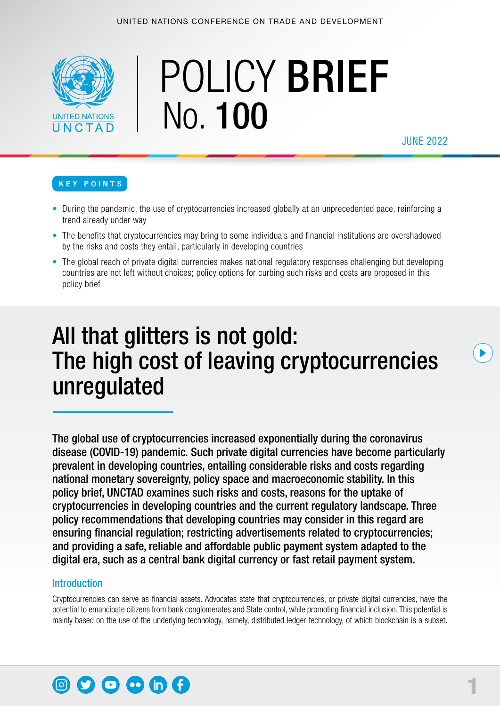

# POLICY BRIEF No. 100

JUNE 2022

#### KEY POINTS

- During the pandemic, the use of cryptocurrencies increased globally at an unprecedented pace, reinforcing a trend already under way
- The benefits that cryptocurrencies may bring to some individuals and financial institutions are overshadowed by the risks and costs they entail, particularly in developing countries
- The global reach of private digital currencies makes national regulatory responses challenging but developing countries are not left without choices; policy options for curbing such risks and costs are proposed in this policy brief

## All that glitters is not gold: The high cost of leaving cryptocurrencies unregulated

The global use of cryptocurrencies increased exponentially during the coronavirus disease (COVID-19) pandemic. Such private digital currencies have become particularly prevalent in developing countries, entailing considerable risks and costs regarding national monetary sovereignty, policy space and macroeconomic stability. In this policy brief, UNCTAD examines such risks and costs, reasons for the uptake of cryptocurrencies in developing countries and the current regulatory landscape. Three policy recommendations that developing countries may consider in this regard are ensuring financial regulation; restricting advertisements related to cryptocurrencies; and providing a safe, reliable and affordable public payment system adapted to the digital era, such as a central bank digital currency or fast retail payment system.

#### Introduction

Cryptocurrencies can serve as financial assets. Advocates state that cryptocurrencies, or private digital currencies, have the potential to emancipate citizens from bank conglomerates and State control, while promoting financial inclusion. This potential is mainly based on the use of the underlying technology, namely, distributed ledger technology, of which blockchain is a subset.

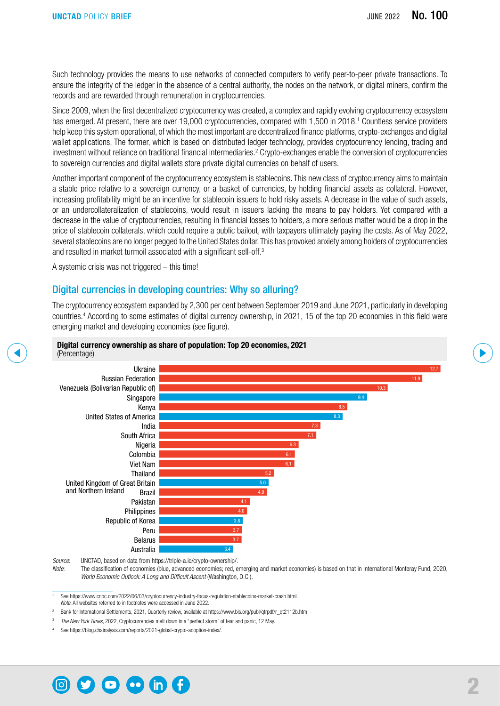Such technology provides the means to use networks of connected computers to verify peer-to-peer private transactions. To ensure the integrity of the ledger in the absence of a central authority, the nodes on the network, or digital miners, confirm the records and are rewarded through remuneration in cryptocurrencies.

Since 2009, when the first decentralized cryptocurrency was created, a complex and rapidly evolving cryptocurrency ecosystem has emerged. At present, there are over 19,000 cryptocurrencies, compared with 1,500 in 2018.<sup>1</sup> Countless service providers help keep this system operational, of which the most important are decentralized finance platforms, crypto-exchanges and digital wallet applications. The former, which is based on distributed ledger technology, provides cryptocurrency lending, trading and investment without reliance on traditional financial intermediaries.<sup>2</sup> Crypto-exchanges enable the conversion of cryptocurrencies to sovereign currencies and digital wallets store private digital currencies on behalf of users.

Another important component of the cryptocurrency ecosystem is stablecoins. This new class of cryptocurrency aims to maintain a stable price relative to a sovereign currency, or a basket of currencies, by holding financial assets as collateral. However, increasing profitability might be an incentive for stablecoin issuers to hold risky assets. A decrease in the value of such assets, or an undercollateralization of stablecoins, would result in issuers lacking the means to pay holders. Yet compared with a decrease in the value of cryptocurrencies, resulting in financial losses to holders, a more serious matter would be a drop in the price of stablecoin collaterals, which could require a public bailout, with taxpayers ultimately paying the costs. As of May 2022, several stablecoins are no longer pegged to the United States dollar. This has provoked anxiety among holders of cryptocurrencies and resulted in market turmoil associated with a significant sell-off.<sup>3</sup>

A systemic crisis was not triggered – this time!

#### Digital currencies in developing countries: Why so alluring?

The cryptocurrency ecosystem expanded by 2,300 per cent between September 2019 and June 2021, particularly in developing countries.4 According to some estimates of digital currency ownership, in 2021, 15 of the top 20 economies in this field were emerging market and developing economies (see figure).



*Source*: UNCTAD, based on data from [https://triple-a.io/crypto-ownership/.](https://triple-a.io/crypto-ownership/)

*Note*: The classification of economies (blue, advanced economies; red, emerging and market economies) is based on that in International Monteray Fund, 2020, *World Economic Outlook: A Long and Difficult Ascent* (Washington, D.C.).

<sup>1</sup> See<https://www.cnbc.com/2022/06/03/cryptocurrency-industry-focus-regulation-stablecoins-market-crash.html>. *Note*: All websites referred to in footnotes were accessed in June 2022.

Bank for International Settlements, 2021, Quarterly review, available at [https://www.bis.org/publ/qtrpdf/r\\_qt2112b.htm.](https://www.bis.org/publ/qtrpdf/r_qt2112b.htm)

<sup>3</sup> *The New York Times*, 2022, Cryptocurrencies melt down in a "perfect storm" of fear and panic, 12 May.

See [https://blog.chainalysis.com/reports/2021-global-crypto-adoption-index/.](https://blog.chainalysis.com/reports/2021-global-crypto-adoption-index/)

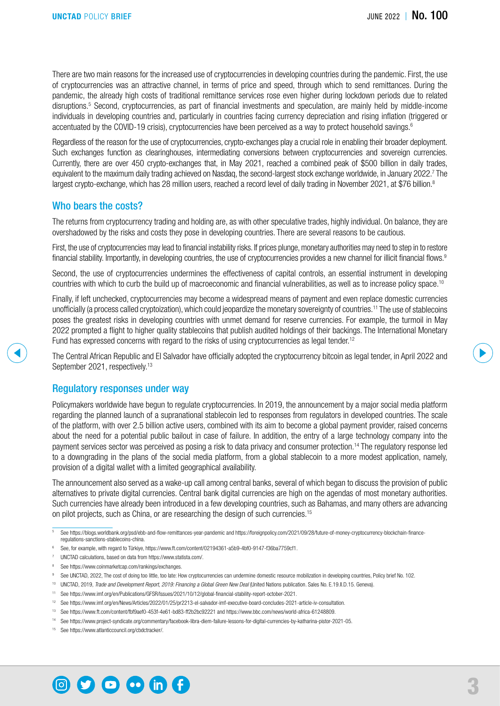There are two main reasons for the increased use of cryptocurrencies in developing countries during the pandemic. First, the use of cryptocurrencies was an attractive channel, in terms of price and speed, through which to send remittances. During the pandemic, the already high costs of traditional remittance services rose even higher during lockdown periods due to related disruptions.<sup>5</sup> Second, cryptocurrencies, as part of financial investments and speculation, are mainly held by middle-income individuals in developing countries and, particularly in countries facing currency depreciation and rising inflation (triggered or accentuated by the COVID-19 crisis), cryptocurrencies have been perceived as a way to protect household savings.6

Regardless of the reason for the use of cryptocurrencies, crypto-exchanges play a crucial role in enabling their broader deployment. Such exchanges function as clearinghouses, intermediating conversions between cryptocurrencies and sovereign currencies. Currently, there are over 450 crypto-exchanges that, in May 2021, reached a combined peak of \$500 billion in daily trades, equivalent to the maximum daily trading achieved on Nasdaq, the second-largest stock exchange worldwide, in January 2022.<sup>7</sup> The largest crypto-exchange, which has 28 million users, reached a record level of daily trading in November 2021, at \$76 billion.<sup>8</sup>

#### Who bears the costs?

The returns from cryptocurrency trading and holding are, as with other speculative trades, highly individual. On balance, they are overshadowed by the risks and costs they pose in developing countries. There are several reasons to be cautious.

First, the use of cryptocurrencies may lead to financial instability risks. If prices plunge, monetary authorities may need to step in to restore financial stability. Importantly, in developing countries, the use of cryptocurrencies provides a new channel for illicit financial flows.<sup>9</sup>

Second, the use of cryptocurrencies undermines the effectiveness of capital controls, an essential instrument in developing countries with which to curb the build up of macroeconomic and financial vulnerabilities, as well as to increase policy space.10

Finally, if left unchecked, cryptocurrencies may become a widespread means of payment and even replace domestic currencies unofficially (a process called cryptoization), which could jeopardize the monetary sovereignty of countries.<sup>11</sup> The use of stablecoins poses the greatest risks in developing countries with unmet demand for reserve currencies. For example, the turmoil in May 2022 prompted a flight to higher quality stablecoins that publish audited holdings of their backings. The International Monetary Fund has expressed concerns with regard to the risks of using cryptocurrencies as legal tender.<sup>12</sup>

The Central African Republic and El Salvador have officially adopted the cryptocurrency bitcoin as legal tender, in April 2022 and September 2021, respectively.<sup>13</sup>

#### Regulatory responses under way

Policymakers worldwide have begun to regulate cryptocurrencies. In 2019, the announcement by a major social media platform regarding the planned launch of a supranational stablecoin led to responses from regulators in developed countries. The scale of the platform, with over 2.5 billion active users, combined with its aim to become a global payment provider, raised concerns about the need for a potential public bailout in case of failure. In addition, the entry of a large technology company into the payment services sector was perceived as posing a risk to data privacy and consumer protection.14 The regulatory response led to a downgrading in the plans of the social media platform, from a global stablecoin to a more modest application, namely, provision of a digital wallet with a limited geographical availability.

The announcement also served as a wake-up call among central banks, several of which began to discuss the provision of public alternatives to private digital currencies. Central bank digital currencies are high on the agendas of most monetary authorities. Such currencies have already been introduced in a few developing countries, such as Bahamas, and many others are advancing on pilot projects, such as China, or are researching the design of such currencies.15

- <sup>6</sup> See, for example, with regard to Türkiye, [https://www.ft.com/content/02194361-a5b9-4bf0-9147-f36ba7759cf1.](https://www.ft.com/content/02194361-a5b9-4bf0-9147-f36ba7759cf1)
- <sup>7</sup> UNCTAD calculations, based on data from [https://www.statista.com/.](https://www.statista.com/)
- <sup>8</sup> See<https://www.coinmarketcap.com/rankings/exchanges>.
- 9 See UNCTAD, 2022, The cost of doing too little, too late: How cryptocurrencies can undermine domestic resource mobilization in developing countries, Policy brief No. 102.
- <sup>10</sup> UNCTAD, 2019, *Trade and Development Report, 2019: Financing a Global Green New Deal* (United Nations publication. Sales No. E.19.II.D.15. Geneva).
- <sup>11</sup> See<https://www.imf.org/en/Publications/GFSR/Issues/2021/10/12/global-financial-stability-report-october-2021>.
- <sup>12</sup> See [https://www.imf.org/en/News/Articles/2022/01/25/pr2213-el-salvador-imf-executive-board-concludes-2021-article-iv-consultation.](https://www.imf.org/en/News/Articles/2022/01/25/pr2213-el-salvador-imf-executive-board-concludes-2021-article-iv-consultation)
- <sup>13</sup> See<https://www.ft.com/content/fbf9aef0-453f-4e61-bd83-ff2b2bc92221>and <https://www.bbc.com/news/world-africa-61248809>.
- <sup>14</sup> See<https://www.project-syndicate.org/commentary/facebook-libra-diem-failure-lessons-for-digital-currencies-by-katharina-pistor-2021-05>.
- <sup>15</sup> See<https://www.atlanticcouncil.org/cbdctracker/>.



<sup>5</sup> See<https://blogs.worldbank.org/psd/ebb-and-flow-remittances-year-pandemic>and [https://foreignpolicy.com/2021/09/28/future-of-money-cryptocurrency-blockchain-finance](https://foreignpolicy.com/2021/09/28/future-of-money-cryptocurrency-blockchain-finance-regulations-sanctions-stablecoins-china)[regulations-sanctions-stablecoins-china](https://foreignpolicy.com/2021/09/28/future-of-money-cryptocurrency-blockchain-finance-regulations-sanctions-stablecoins-china).